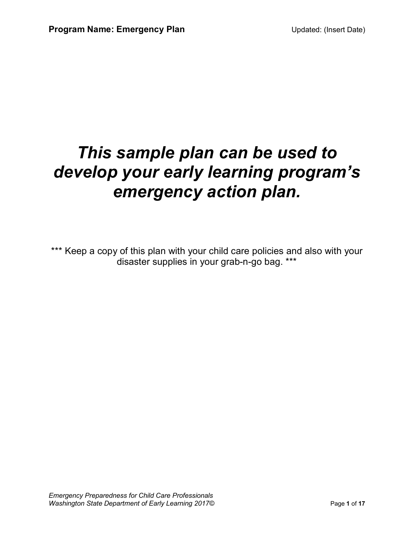# *This sample plan can be used to develop your early learning program's emergency action plan.*

\*\*\* Keep a copy of this plan with your child care policies and also with your disaster supplies in your grab-n-go bag. \*\*\*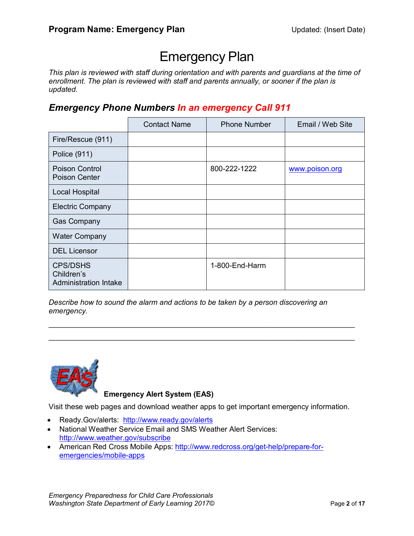## Emergency Plan

*This plan is reviewed with staff during orientation and with parents and guardians at the time of enrollment. The plan is reviewed with staff and parents annually, or sooner if the plan is updated.*

*Emergency Phone Numbers In an emergency Call 911*

|                                                               | <b>Contact Name</b> | <b>Phone Number</b> | Email / Web Site |
|---------------------------------------------------------------|---------------------|---------------------|------------------|
| Fire/Rescue (911)                                             |                     |                     |                  |
| Police (911)                                                  |                     |                     |                  |
| Poison Control<br>Poison Center                               |                     | 800-222-1222        | www.poison.org   |
| <b>Local Hospital</b>                                         |                     |                     |                  |
| <b>Electric Company</b>                                       |                     |                     |                  |
| <b>Gas Company</b>                                            |                     |                     |                  |
| <b>Water Company</b>                                          |                     |                     |                  |
| <b>DEL Licensor</b>                                           |                     |                     |                  |
| <b>CPS/DSHS</b><br>Children's<br><b>Administration Intake</b> |                     | 1-800-End-Harm      |                  |

*Describe how to sound the alarm and actions to be taken by a person discovering an emergency.*

 $\_$  $\mathcal{L}_\text{max}$  , and the contribution of the contribution of the contribution of the contribution of the contribution of the contribution of the contribution of the contribution of the contribution of the contribution of t



**Emergency Alert System (EAS)**

Visit these web pages and download weather apps to get important emergency information.

- Ready.Gov/alerts: http://www.ready.gov/alerts
- National Weather Service Email and SMS Weather Alert Services: http://www.weather.gov/subscribe
- American Red Cross Mobile Apps: http://www.redcross.org/get-help/prepare-foremergencies/mobile-apps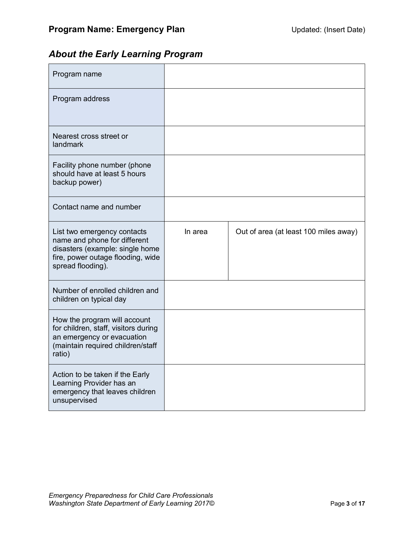### *About the Early Learning Program*

| Program name                                                                                                                                             |         |                                       |
|----------------------------------------------------------------------------------------------------------------------------------------------------------|---------|---------------------------------------|
| Program address                                                                                                                                          |         |                                       |
| Nearest cross street or<br>landmark                                                                                                                      |         |                                       |
| Facility phone number (phone<br>should have at least 5 hours<br>backup power)                                                                            |         |                                       |
| Contact name and number                                                                                                                                  |         |                                       |
| List two emergency contacts<br>name and phone for different<br>disasters (example: single home<br>fire, power outage flooding, wide<br>spread flooding). | In area | Out of area (at least 100 miles away) |
| Number of enrolled children and<br>children on typical day                                                                                               |         |                                       |
| How the program will account<br>for children, staff, visitors during<br>an emergency or evacuation<br>(maintain required children/staff<br>ratio)        |         |                                       |
| Action to be taken if the Early<br>Learning Provider has an<br>emergency that leaves children<br>unsupervised                                            |         |                                       |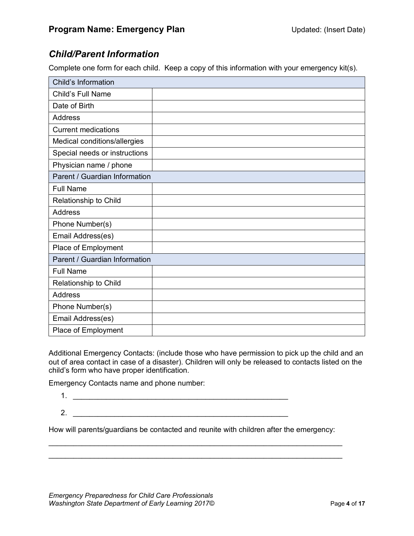#### *Child/Parent Information*

Complete one form for each child. Keep a copy of this information with your emergency kit(s).

| Child's Information           |  |
|-------------------------------|--|
| Child's Full Name             |  |
| Date of Birth                 |  |
| <b>Address</b>                |  |
| <b>Current medications</b>    |  |
| Medical conditions/allergies  |  |
| Special needs or instructions |  |
| Physician name / phone        |  |
| Parent / Guardian Information |  |
| <b>Full Name</b>              |  |
| Relationship to Child         |  |
| <b>Address</b>                |  |
| Phone Number(s)               |  |
| Email Address(es)             |  |
| Place of Employment           |  |
| Parent / Guardian Information |  |
| <b>Full Name</b>              |  |
| Relationship to Child         |  |
| <b>Address</b>                |  |
| Phone Number(s)               |  |
| Email Address(es)             |  |
| Place of Employment           |  |

Additional Emergency Contacts: (include those who have permission to pick up the child and an out of area contact in case of a disaster). Children will only be released to contacts listed on the child's form who have proper identification.

Emergency Contacts name and phone number:

- 1. \_\_\_\_\_\_\_\_\_\_\_\_\_\_\_\_\_\_\_\_\_\_\_\_\_\_\_\_\_\_\_\_\_\_\_\_\_\_\_\_\_\_\_\_\_\_\_\_\_\_\_\_  $2.$
- How will parents/guardians be contacted and reunite with children after the emergency:

 $\_$  $\_$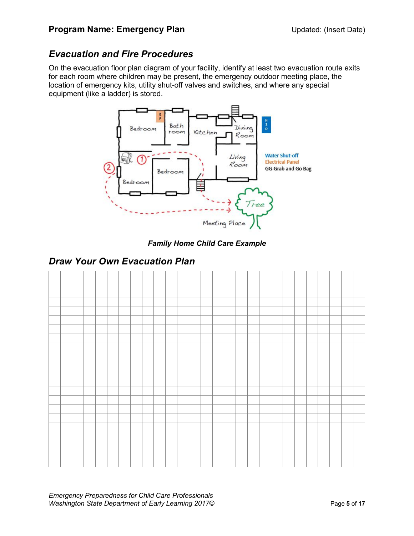#### *Evacuation and Fire Procedures*

On the evacuation floor plan diagram of your facility, identify at least two evacuation route exits for each room where children may be present, the emergency outdoor meeting place, the location of emergency kits, utility shut-off valves and switches, and where any special equipment (like a ladder) is stored.



*Family Home Child Care Example*

#### *Draw Your Own Evacuation Plan*



*Emergency Preparedness for Child Care Professionals Washington State Department of Early Learning 2017©* Page 5 of 17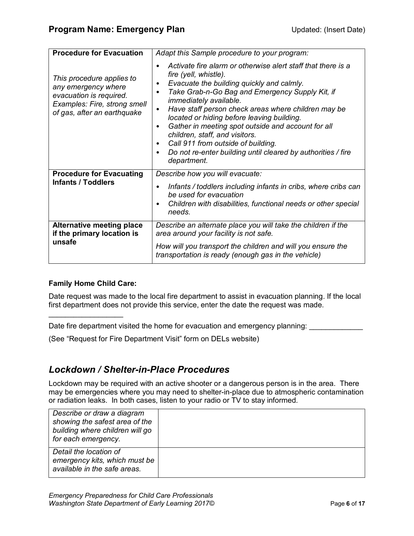| <b>Procedure for Evacuation</b>                                                                                                            | Adapt this Sample procedure to your program:                                                                                                                                                                                                                                                                                                                                                                                                                                                                                                                                      |
|--------------------------------------------------------------------------------------------------------------------------------------------|-----------------------------------------------------------------------------------------------------------------------------------------------------------------------------------------------------------------------------------------------------------------------------------------------------------------------------------------------------------------------------------------------------------------------------------------------------------------------------------------------------------------------------------------------------------------------------------|
| This procedure applies to<br>any emergency where<br>evacuation is required.<br>Examples: Fire, strong smell<br>of gas, after an earthquake | Activate fire alarm or otherwise alert staff that there is a<br>$\bullet$<br>fire (yell, whistle).<br>Evacuate the building quickly and calmly.<br>٠<br>Take Grab-n-Go Bag and Emergency Supply Kit, if<br><i>immediately available.</i><br>Have staff person check areas where children may be<br>located or hiding before leaving building.<br>Gather in meeting spot outside and account for all<br>٠<br>children, staff, and visitors.<br>Call 911 from outside of building.<br>٠<br>Do not re-enter building until cleared by authorities / fire<br>$\bullet$<br>department. |
| <b>Procedure for Evacuating</b><br><b>Infants / Toddlers</b>                                                                               | Describe how you will evacuate:<br>Infants / toddlers including infants in cribs, where cribs can<br>be used for evacuation<br>Children with disabilities, functional needs or other special<br>٠<br>needs.                                                                                                                                                                                                                                                                                                                                                                       |
| <b>Alternative meeting place</b><br>if the primary location is<br>unsafe                                                                   | Describe an alternate place you will take the children if the<br>area around your facility is not safe.<br>How will you transport the children and will you ensure the<br>transportation is ready (enough gas in the vehicle)                                                                                                                                                                                                                                                                                                                                                     |

#### **Family Home Child Care:**

 $\overline{\phantom{a}}$  , where  $\overline{\phantom{a}}$  , where  $\overline{\phantom{a}}$ 

Date request was made to the local fire department to assist in evacuation planning. If the local first department does not provide this service, enter the date the request was made.

Date fire department visited the home for evacuation and emergency planning:

(See "Request for Fire Department Visit" form on DELs website)

#### *Lockdown / Shelter-in-Place Procedures*

Lockdown may be required with an active shooter or a dangerous person is in the area. There may be emergencies where you may need to shelter-in-place due to atmospheric contamination or radiation leaks. In both cases, listen to your radio or TV to stay informed.

| Describe or draw a diagram<br>showing the safest area of the<br>building where children will go<br>for each emergency. |  |
|------------------------------------------------------------------------------------------------------------------------|--|
| Detail the location of<br>emergency kits, which must be<br>available in the safe areas.                                |  |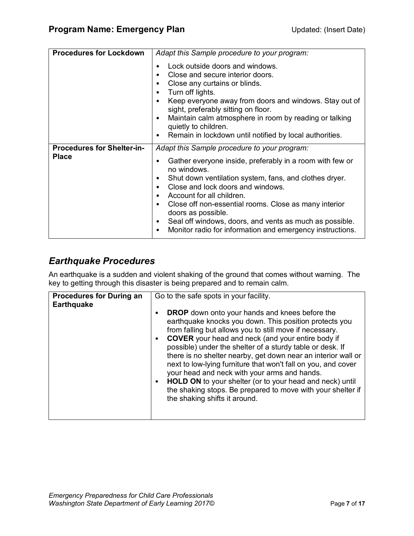| <b>Procedures for Lockdown</b>                    | Adapt this Sample procedure to your program:                                                                                                                                                                                                                                                                                                                                                                                                                                                                                  |
|---------------------------------------------------|-------------------------------------------------------------------------------------------------------------------------------------------------------------------------------------------------------------------------------------------------------------------------------------------------------------------------------------------------------------------------------------------------------------------------------------------------------------------------------------------------------------------------------|
|                                                   | Lock outside doors and windows.<br>Close and secure interior doors.<br>Close any curtains or blinds.<br>$\bullet$<br>Turn off lights.<br>$\bullet$<br>Keep everyone away from doors and windows. Stay out of<br>$\bullet$<br>sight, preferably sitting on floor.<br>Maintain calm atmosphere in room by reading or talking<br>$\bullet$<br>quietly to children.<br>Remain in lockdown until notified by local authorities.<br>٠                                                                                               |
| <b>Procedures for Shelter-in-</b><br><b>Place</b> | Adapt this Sample procedure to your program:<br>Gather everyone inside, preferably in a room with few or<br>٠<br>no windows.<br>Shut down ventilation system, fans, and clothes dryer.<br>٠<br>Close and lock doors and windows.<br>$\bullet$<br>Account for all children.<br>$\bullet$<br>Close off non-essential rooms. Close as many interior<br>$\bullet$<br>doors as possible.<br>Seal off windows, doors, and vents as much as possible.<br>٠<br>Monitor radio for information and emergency instructions.<br>$\bullet$ |

#### *Earthquake Procedures*

An earthquake is a sudden and violent shaking of the ground that comes without warning. The key to getting through this disaster is being prepared and to remain calm.

| <b>Procedures for During an</b><br><b>Earthquake</b> | Go to the safe spots in your facility.                                                                                                                                                                                                                                                                                                                                                                                                                                                                                                                                                                                                                                                   |
|------------------------------------------------------|------------------------------------------------------------------------------------------------------------------------------------------------------------------------------------------------------------------------------------------------------------------------------------------------------------------------------------------------------------------------------------------------------------------------------------------------------------------------------------------------------------------------------------------------------------------------------------------------------------------------------------------------------------------------------------------|
|                                                      | <b>DROP</b> down onto your hands and knees before the<br>$\bullet$<br>earthquake knocks you down. This position protects you<br>from falling but allows you to still move if necessary.<br><b>COVER</b> your head and neck (and your entire body if<br>$\bullet$<br>possible) under the shelter of a sturdy table or desk. If<br>there is no shelter nearby, get down near an interior wall or<br>next to low-lying furniture that won't fall on you, and cover<br>your head and neck with your arms and hands.<br>HOLD ON to your shelter (or to your head and neck) until<br>$\bullet$<br>the shaking stops. Be prepared to move with your shelter if<br>the shaking shifts it around. |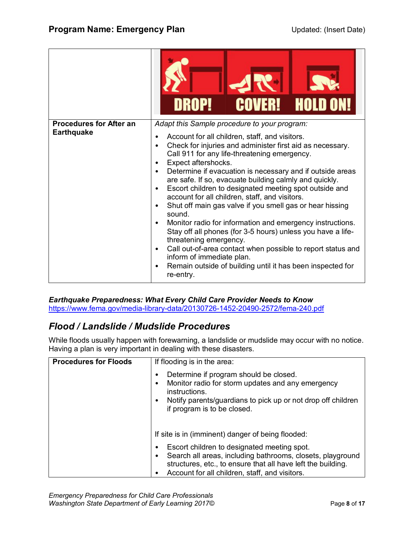|                                                     | <b>COVER! HOLD ON!</b><br>DROP!                                                                                                                                                                                                                                                                                                                                                                                                                                                                                                                                                                                                                                                                                                                                                                                                                                                                                                                                  |
|-----------------------------------------------------|------------------------------------------------------------------------------------------------------------------------------------------------------------------------------------------------------------------------------------------------------------------------------------------------------------------------------------------------------------------------------------------------------------------------------------------------------------------------------------------------------------------------------------------------------------------------------------------------------------------------------------------------------------------------------------------------------------------------------------------------------------------------------------------------------------------------------------------------------------------------------------------------------------------------------------------------------------------|
| <b>Procedures for After an</b><br><b>Earthquake</b> | Adapt this Sample procedure to your program:<br>Account for all children, staff, and visitors.<br>$\bullet$<br>Check for injuries and administer first aid as necessary.<br>٠<br>Call 911 for any life-threatening emergency.<br>Expect aftershocks.<br>٠<br>Determine if evacuation is necessary and if outside areas<br>are safe. If so, evacuate building calmly and quickly.<br>Escort children to designated meeting spot outside and<br>$\bullet$<br>account for all children, staff, and visitors.<br>Shut off main gas valve if you smell gas or hear hissing<br>$\bullet$<br>sound.<br>Monitor radio for information and emergency instructions.<br>$\bullet$<br>Stay off all phones (for 3-5 hours) unless you have a life-<br>threatening emergency.<br>Call out-of-area contact when possible to report status and<br>$\bullet$<br>inform of immediate plan.<br>Remain outside of building until it has been inspected for<br>$\bullet$<br>re-entry. |

*Earthquake Preparedness: What Every Child Care Provider Needs to Know* https://www.fema.gov/media-library-data/20130726-1452-20490-2572/fema-240.pdf

#### *Flood / Landslide / Mudslide Procedures*

While floods usually happen with forewarning, a landslide or mudslide may occur with no notice. Having a plan is very important in dealing with these disasters.

| <b>Procedures for Floods</b> | If flooding is in the area:                                                                                                                                                                                                                   |
|------------------------------|-----------------------------------------------------------------------------------------------------------------------------------------------------------------------------------------------------------------------------------------------|
|                              | Determine if program should be closed.<br>٠<br>Monitor radio for storm updates and any emergency<br>٠<br>instructions.<br>Notify parents/guardians to pick up or not drop off children<br>$\bullet$<br>if program is to be closed.            |
|                              | If site is in (imminent) danger of being flooded:                                                                                                                                                                                             |
|                              | Escort children to designated meeting spot.<br>$\bullet$<br>Search all areas, including bathrooms, closets, playground<br>٠<br>structures, etc., to ensure that all have left the building.<br>Account for all children, staff, and visitors. |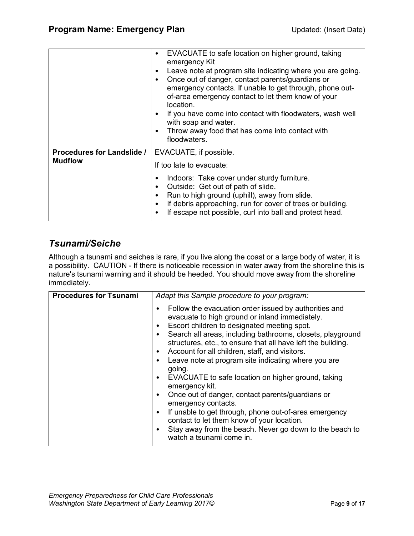|                                                     | EVACUATE to safe location on higher ground, taking<br>٠<br>emergency Kit<br>Leave note at program site indicating where you are going.<br>٠<br>Once out of danger, contact parents/guardians or<br>٠<br>emergency contacts. If unable to get through, phone out-<br>of-area emergency contact to let them know of your<br>location.<br>If you have come into contact with floodwaters, wash well<br>$\bullet$<br>with soap and water.<br>Throw away food that has come into contact with<br>٠<br>floodwaters. |
|-----------------------------------------------------|---------------------------------------------------------------------------------------------------------------------------------------------------------------------------------------------------------------------------------------------------------------------------------------------------------------------------------------------------------------------------------------------------------------------------------------------------------------------------------------------------------------|
| <b>Procedures for Landslide /</b><br><b>Mudflow</b> | EVACUATE, if possible.<br>If too late to evacuate:                                                                                                                                                                                                                                                                                                                                                                                                                                                            |
|                                                     | Indoors: Take cover under sturdy furniture.<br>$\bullet$<br>Outside: Get out of path of slide.<br>٠<br>Run to high ground (uphill), away from slide.<br>$\bullet$<br>If debris approaching, run for cover of trees or building.<br>٠<br>If escape not possible, curl into ball and protect head.                                                                                                                                                                                                              |

#### *Tsunami/Seiche*

Although a tsunami and seiches is rare, if you live along the coast or a large body of water, it is a possibility. CAUTION - If there is noticeable recession in water away from the shoreline this is nature's tsunami warning and it should be heeded. You should move away from the shoreline immediately.

| <b>Procedures for Tsunami</b> | Adapt this Sample procedure to your program:                                                                                                                                                                                                                                                                                                                                                                                                                                                                                                                                                                                                                                                                                                                          |
|-------------------------------|-----------------------------------------------------------------------------------------------------------------------------------------------------------------------------------------------------------------------------------------------------------------------------------------------------------------------------------------------------------------------------------------------------------------------------------------------------------------------------------------------------------------------------------------------------------------------------------------------------------------------------------------------------------------------------------------------------------------------------------------------------------------------|
|                               | Follow the evacuation order issued by authorities and<br>evacuate to high ground or inland immediately.<br>Escort children to designated meeting spot.<br>Search all areas, including bathrooms, closets, playground<br>structures, etc., to ensure that all have left the building.<br>Account for all children, staff, and visitors.<br>Leave note at program site indicating where you are<br>going.<br>EVACUATE to safe location on higher ground, taking<br>$\bullet$<br>emergency kit.<br>Once out of danger, contact parents/guardians or<br>emergency contacts.<br>If unable to get through, phone out-of-area emergency<br>contact to let them know of your location.<br>Stay away from the beach. Never go down to the beach to<br>watch a tsunami come in. |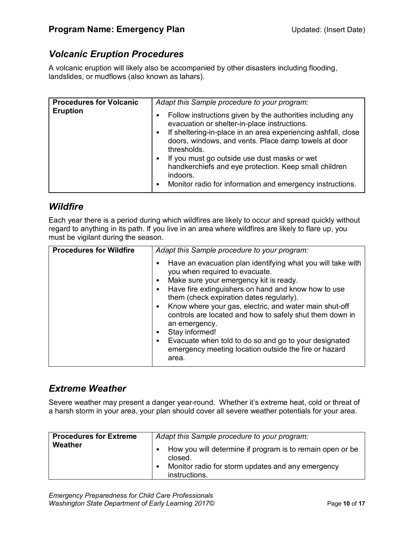#### *Volcanic Eruption Procedures*

A volcanic eruption will likely also be accompanied by other disasters including flooding, landslides, or mudflows (also known as lahars).

| <b>Procedures for Volcanic</b><br><b>Eruption</b> | Adapt this Sample procedure to your program:<br>Follow instructions given by the authorities including any<br>evacuation or shelter-in-place instructions.<br>If sheltering-in-place in an area experiencing ashfall, close<br>doors, windows, and vents. Place damp towels at door |
|---------------------------------------------------|-------------------------------------------------------------------------------------------------------------------------------------------------------------------------------------------------------------------------------------------------------------------------------------|
|                                                   | thresholds.<br>If you must go outside use dust masks or wet<br>handkerchiefs and eye protection. Keep small children<br>indoors.<br>Monitor radio for information and emergency instructions.                                                                                       |

#### *Wildfire*

Each year there is a period during which wildfires are likely to occur and spread quickly without regard to anything in its path. If you live in an area where wildfires are likely to flare up, you must be vigilant during the season.

| <b>Procedures for Wildfire</b> | Adapt this Sample procedure to your program:                                                                                                                                                                                                                                                                                                                                                                                                                                                                                                |  |  |  |  |
|--------------------------------|---------------------------------------------------------------------------------------------------------------------------------------------------------------------------------------------------------------------------------------------------------------------------------------------------------------------------------------------------------------------------------------------------------------------------------------------------------------------------------------------------------------------------------------------|--|--|--|--|
|                                | Have an evacuation plan identifying what you will take with<br>you when required to evacuate.<br>Make sure your emergency kit is ready.<br>Have fire extinguishers on hand and know how to use<br>them (check expiration dates regularly).<br>Know where your gas, electric, and water main shut-off<br>$\bullet$<br>controls are located and how to safely shut them down in<br>an emergency.<br>Stay informed!<br>Evacuate when told to do so and go to your designated<br>emergency meeting location outside the fire or hazard<br>area. |  |  |  |  |

#### *Extreme Weather*

Severe weather may present a danger year-round. Whether it's extreme heat, cold or threat of a harsh storm in your area, your plan should cover all severe weather potentials for your area.

| <b>Procedures for Extreme</b> | Adapt this Sample procedure to your program:                                                                                               |
|-------------------------------|--------------------------------------------------------------------------------------------------------------------------------------------|
| Weather                       | How you will determine if program is to remain open or be<br>closed.<br>Monitor radio for storm updates and any emergency<br>instructions. |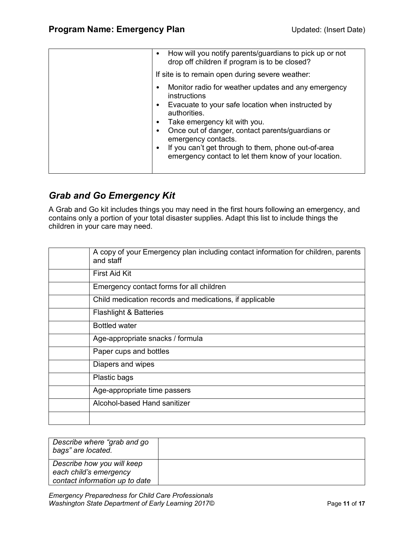| How will you notify parents/guardians to pick up or not<br>$\bullet$<br>drop off children if program is to be closed?<br>If site is to remain open during severe weather:                                                                                                                                                                                                                                 |  |  |  |  |
|-----------------------------------------------------------------------------------------------------------------------------------------------------------------------------------------------------------------------------------------------------------------------------------------------------------------------------------------------------------------------------------------------------------|--|--|--|--|
| Monitor radio for weather updates and any emergency<br>$\bullet$<br>instructions<br>Evacuate to your safe location when instructed by<br>$\bullet$<br>authorities.<br>Take emergency kit with you.<br>Once out of danger, contact parents/guardians or<br>emergency contacts.<br>If you can't get through to them, phone out-of-area<br>$\bullet$<br>emergency contact to let them know of your location. |  |  |  |  |

#### *Grab and Go Emergency Kit*

A Grab and Go kit includes things you may need in the first hours following an emergency, and contains only a portion of your total disaster supplies. Adapt this list to include things the children in your care may need.

| A copy of your Emergency plan including contact information for children, parents<br>and staff |
|------------------------------------------------------------------------------------------------|
| <b>First Aid Kit</b>                                                                           |
| Emergency contact forms for all children                                                       |
| Child medication records and medications, if applicable                                        |
| <b>Flashlight &amp; Batteries</b>                                                              |
| <b>Bottled water</b>                                                                           |
| Age-appropriate snacks / formula                                                               |
| Paper cups and bottles                                                                         |
| Diapers and wipes                                                                              |
| Plastic bags                                                                                   |
| Age-appropriate time passers                                                                   |
| Alcohol-based Hand sanitizer                                                                   |
|                                                                                                |

| Describe where "grab and go<br>bags" are located.                                      |  |
|----------------------------------------------------------------------------------------|--|
| Describe how you will keep<br>each child's emergency<br>contact information up to date |  |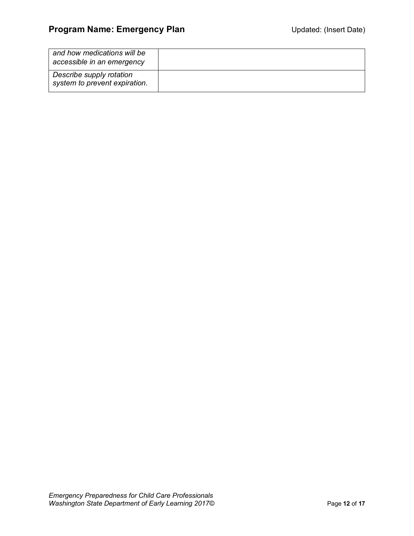| and how medications will be<br>accessible in an emergency |  |
|-----------------------------------------------------------|--|
| Describe supply rotation<br>system to prevent expiration. |  |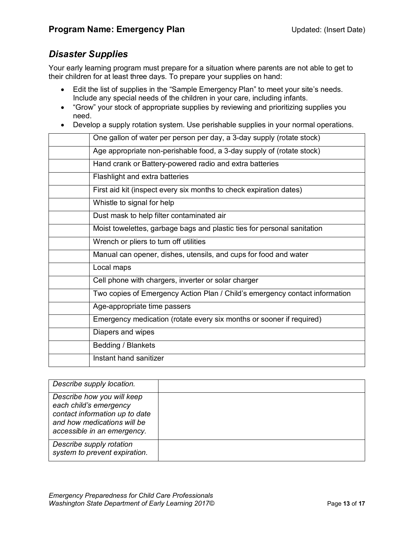#### *Disaster Supplies*

Your early learning program must prepare for a situation where parents are not able to get to their children for at least three days. To prepare your supplies on hand:

- Edit the list of supplies in the "Sample Emergency Plan" to meet your site's needs. Include any special needs of the children in your care, including infants.
- "Grow" your stock of appropriate supplies by reviewing and prioritizing supplies you need.
- Develop a supply rotation system. Use perishable supplies in your normal operations.

| One gallon of water per person per day, a 3-day supply (rotate stock)       |
|-----------------------------------------------------------------------------|
| Age appropriate non-perishable food, a 3-day supply of (rotate stock)       |
| Hand crank or Battery-powered radio and extra batteries                     |
| Flashlight and extra batteries                                              |
| First aid kit (inspect every six months to check expiration dates)          |
| Whistle to signal for help                                                  |
| Dust mask to help filter contaminated air                                   |
| Moist towelettes, garbage bags and plastic ties for personal sanitation     |
| Wrench or pliers to turn off utilities                                      |
| Manual can opener, dishes, utensils, and cups for food and water            |
| Local maps                                                                  |
| Cell phone with chargers, inverter or solar charger                         |
| Two copies of Emergency Action Plan / Child's emergency contact information |
| Age-appropriate time passers                                                |
| Emergency medication (rotate every six months or sooner if required)        |
| Diapers and wipes                                                           |
| <b>Bedding / Blankets</b>                                                   |
| Instant hand sanitizer                                                      |

| Describe supply location.                                                                                                                            |  |
|------------------------------------------------------------------------------------------------------------------------------------------------------|--|
| Describe how you will keep<br>each child's emergency<br>contact information up to date<br>and how medications will be<br>accessible in an emergency. |  |
| Describe supply rotation<br>system to prevent expiration.                                                                                            |  |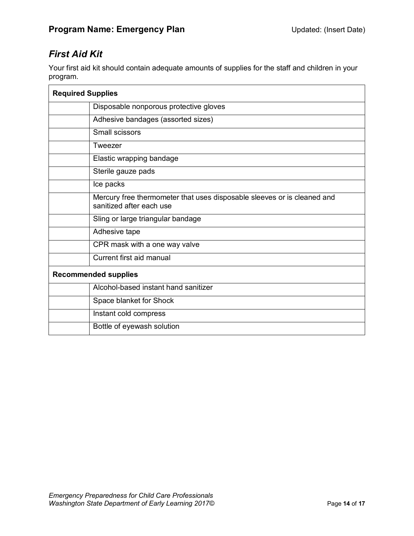#### *First Aid Kit*

Your first aid kit should contain adequate amounts of supplies for the staff and children in your program.

| <b>Required Supplies</b>    |                                                                                                     |  |  |
|-----------------------------|-----------------------------------------------------------------------------------------------------|--|--|
|                             | Disposable nonporous protective gloves                                                              |  |  |
|                             | Adhesive bandages (assorted sizes)                                                                  |  |  |
|                             | Small scissors                                                                                      |  |  |
|                             | Tweezer                                                                                             |  |  |
|                             | Elastic wrapping bandage                                                                            |  |  |
|                             | Sterile gauze pads                                                                                  |  |  |
|                             | Ice packs                                                                                           |  |  |
|                             | Mercury free thermometer that uses disposable sleeves or is cleaned and<br>sanitized after each use |  |  |
|                             | Sling or large triangular bandage                                                                   |  |  |
|                             | Adhesive tape                                                                                       |  |  |
|                             | CPR mask with a one way valve                                                                       |  |  |
|                             | Current first aid manual                                                                            |  |  |
| <b>Recommended supplies</b> |                                                                                                     |  |  |
|                             | Alcohol-based instant hand sanitizer                                                                |  |  |
|                             | Space blanket for Shock                                                                             |  |  |
|                             | Instant cold compress                                                                               |  |  |
|                             | Bottle of eyewash solution                                                                          |  |  |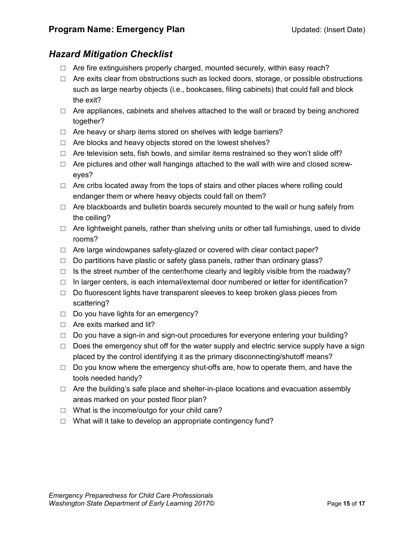#### *Hazard Mitigation Checklist*

- $\Box$  Are fire extinguishers properly charged, mounted securely, within easy reach?
- $\Box$  Are exits clear from obstructions such as locked doors, storage, or possible obstructions such as large nearby objects (i.e., bookcases, filing cabinets) that could fall and block the exit?
- $\Box$  Are appliances, cabinets and shelves attached to the wall or braced by being anchored together?
- $\Box$  Are heavy or sharp items stored on shelves with ledge barriers?
- $\Box$  Are blocks and heavy objects stored on the lowest shelves?
- $\Box$  Are television sets, fish bowls, and similar items restrained so they won't slide off?
- $\Box$  Are pictures and other wall hangings attached to the wall with wire and closed screweyes?
- $\Box$  Are cribs located away from the tops of stairs and other places where rolling could endanger them or where heavy objects could fall on them?
- $\Box$  Are blackboards and bulletin boards securely mounted to the wall or hung safely from the ceiling?
- $\Box$  Are lightweight panels, rather than shelving units or other tall furnishings, used to divide rooms?
- $\Box$  Are large windowpanes safety-glazed or covered with clear contact paper?
- $\Box$  Do partitions have plastic or safety glass panels, rather than ordinary glass?
- $\Box$  Is the street number of the center/home clearly and legibly visible from the roadway?
- $\Box$  In larger centers, is each internal/external door numbered or letter for identification?
- $\Box$  Do fluorescent lights have transparent sleeves to keep broken glass pieces from scattering?
- □ Do you have lights for an emergency?
- $\Box$  Are exits marked and lit?
- $\Box$  Do you have a sign-in and sign-out procedures for everyone entering your building?
- $\Box$  Does the emergency shut off for the water supply and electric service supply have a sign placed by the control identifying it as the primary disconnecting/shutoff means?
- $\Box$  Do you know where the emergency shut-offs are, how to operate them, and have the tools needed handy?
- $\Box$  Are the building's safe place and shelter-in-place locations and evacuation assembly areas marked on your posted floor plan?
- $\Box$  What is the income/outgo for your child care?
- $\Box$  What will it take to develop an appropriate contingency fund?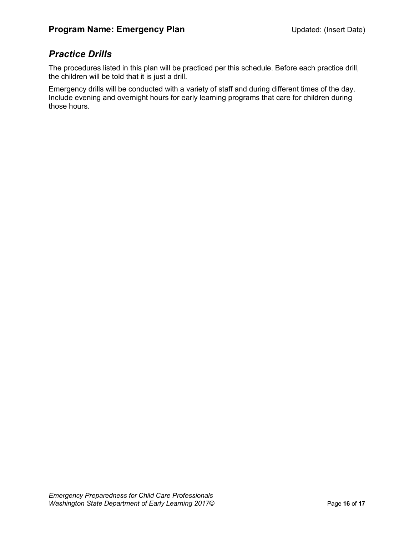#### *Practice Drills*

The procedures listed in this plan will be practiced per this schedule. Before each practice drill, the children will be told that it is just a drill.

Emergency drills will be conducted with a variety of staff and during different times of the day. Include evening and overnight hours for early learning programs that care for children during those hours.